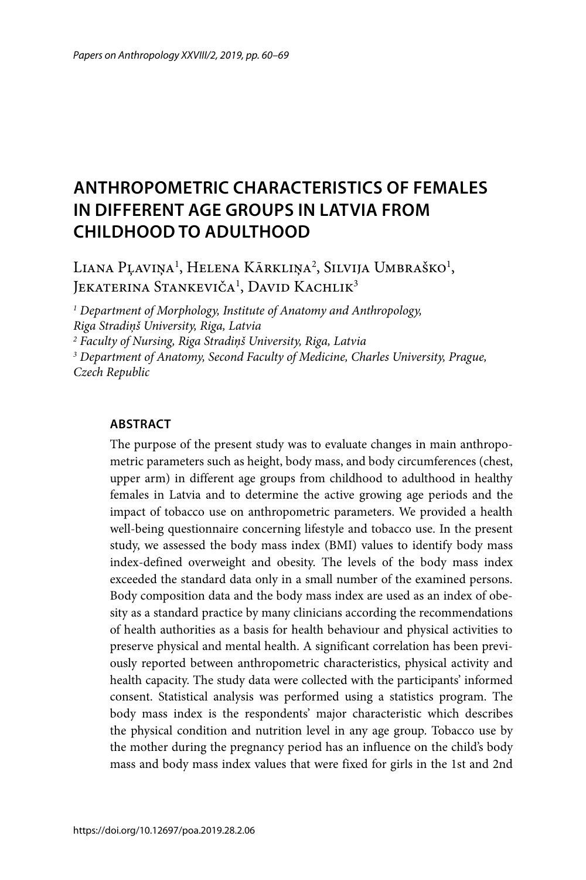# **ANTHROPOMETRIC CHARACTERISTICS OF FEMALES IN DIFFERENT AGE GROUPS IN LATVIA FROM CHILDHOOD TO ADULTHOOD**

Liana Pļaviņa<sup>1</sup>, Helena Kārkliņa<sup>2</sup>, Silvija Umbraško<sup>1</sup>, Jekaterina Stankeviča<sup>1</sup>, David Kachlik<sup>3</sup>

*1 Department of Morphology, Institute of Anatomy and Anthropology, Riga Stradiņš University, Riga, Latvia 2 Faculty of Nursing, Riga Stradiņš University, Riga, Latvia*

*3 Department of Anatomy, Second Faculty of Medicine, Charles University, Prague, Czech Republic*

#### **ABSTRACT**

The purpose of the present study was to evaluate changes in main anthropometric parameters such as height, body mass, and body circumferences (chest, upper arm) in different age groups from childhood to adulthood in healthy females in Latvia and to determine the active growing age periods and the impact of tobacco use on anthropometric parameters. We provided a health well-being questionnaire concerning lifestyle and tobacco use. In the present study, we assessed the body mass index (BMI) values to identify body mass index-defined overweight and obesity. The levels of the body mass index exceeded the standard data only in a small number of the examined persons. Body composition data and the body mass index are used as an index of obesity as a standard practice by many clinicians according the recommendations of health authorities as a basis for health behaviour and physical activities to preserve physical and mental health. A significant correlation has been previously reported between anthropometric characteristics, physical activity and health capacity. The study data were collected with the participants' informed consent. Statistical analysis was performed using a statistics program. The body mass index is the respondents' major characteristic which describes the physical condition and nutrition level in any age group. Tobacco use by the mother during the pregnancy period has an influence on the child's body mass and body mass index values that were fixed for girls in the 1st and 2nd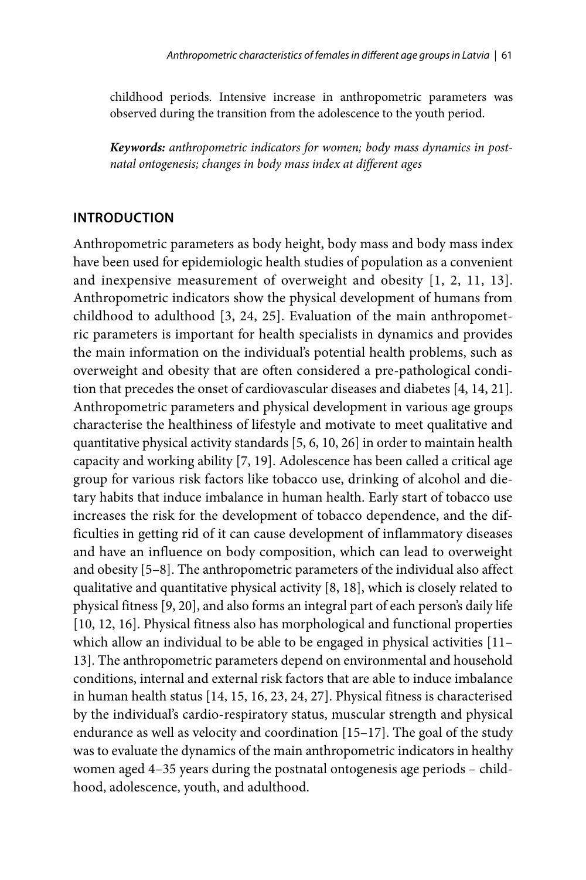childhood periods. Intensive increase in anthropometric parameters was observed during the transition from the adolescence to the youth period.

*Keywords: anthropometric indicators for women; body mass dynamics in postnatal ontogenesis; changes in body mass index at different ages*

### **INTRODUCTION**

Anthropometric parameters as body height, body mass and body mass index have been used for epidemiologic health studies of population as a convenient and inexpensive measurement of overweight and obesity [1, 2, 11, 13]. Anthropometric indicators show the physical development of humans from childhood to adulthood [3, 24, 25]. Evaluation of the main anthropometric parameters is important for health specialists in dynamics and provides the main information on the individual's potential health problems, such as overweight and obesity that are often considered a pre-pathological condition that precedes the onset of cardiovascular diseases and diabetes [4, 14, 21]. Anthropometric parameters and physical development in various age groups characterise the healthiness of lifestyle and motivate to meet qualitative and quantitative physical activity standards [5, 6, 10, 26] in order to maintain health capacity and working ability [7, 19]. Adolescence has been called a critical age group for various risk factors like tobacco use, drinking of alcohol and dietary habits that induce imbalance in human health. Early start of tobacco use increases the risk for the development of tobacco dependence, and the difficulties in getting rid of it can cause development of inflammatory diseases and have an influence on body composition, which can lead to overweight and obesity [5–8]. The anthropometric parameters of the individual also affect qualitative and quantitative physical activity [8, 18], which is closely related to physical fitness [9, 20], and also forms an integral part of each person's daily life [10, 12, 16]. Physical fitness also has morphological and functional properties which allow an individual to be able to be engaged in physical activities [11– 13]. The anthropometric parameters depend on environmental and household conditions, internal and external risk factors that are able to induce imbalance in human health status [14, 15, 16, 23, 24, 27]. Physical fitness is characterised by the individual's cardio-respiratory status, muscular strength and physical endurance as well as velocity and coordination [15–17]. The goal of the study was to evaluate the dynamics of the main anthropometric indicators in healthy women aged 4–35 years during the postnatal ontogenesis age periods – childhood, adolescence, youth, and adulthood.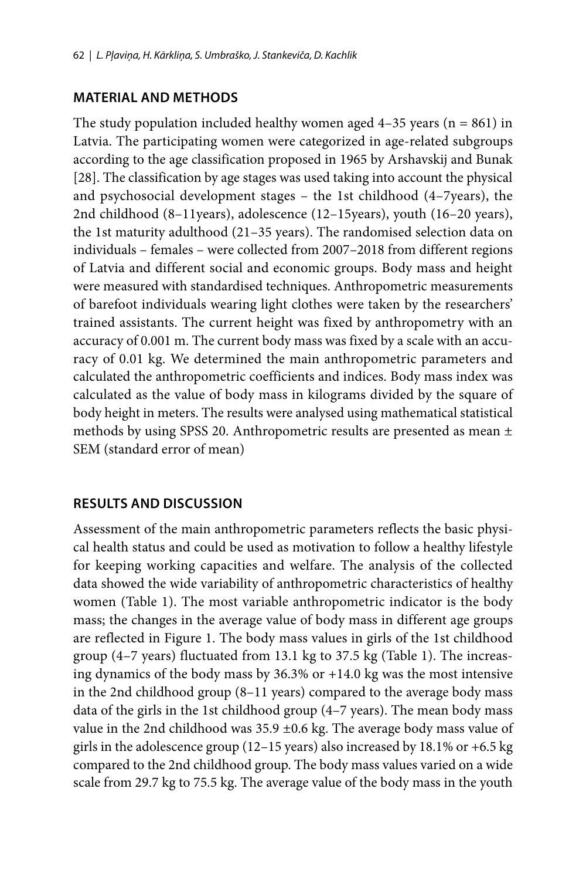## **MATERIAL AND METHODS**

The study population included healthy women aged  $4-35$  years (n = 861) in Latvia. The participating women were categorized in age-related subgroups according to the age classification proposed in 1965 by Arshavskij and Bunak [28]. The classification by age stages was used taking into account the physical and psychosocial development stages – the 1st childhood (4–7years), the 2nd childhood (8–11years), adolescence (12–15years), youth (16–20 years), the 1st maturity adulthood (21–35 years). The randomised selection data on individuals – females – were collected from 2007–2018 from different regions of Latvia and different social and economic groups. Body mass and height were measured with standardised techniques. Anthropometric measurements of barefoot individuals wearing light clothes were taken by the researchers' trained assistants. The current height was fixed by anthropometry with an accuracy of 0.001 m. The current body mass was fixed by a scale with an accuracy of 0.01 kg. We determined the main anthropometric parameters and calculated the anthropometric coefficients and indices. Body mass index was calculated as the value of body mass in kilograms divided by the square of body height in meters. The results were analysed using mathematical statistical methods by using SPSS 20. Anthropometric results are presented as mean ± SEM (standard error of mean)

## **RESULTS AND DISCUSSION**

Assessment of the main anthropometric parameters reflects the basic physical health status and could be used as motivation to follow a healthy lifestyle for keeping working capacities and welfare. The analysis of the collected data showed the wide variability of anthropometric characteristics of healthy women (Table 1). The most variable anthropometric indicator is the body mass; the changes in the average value of body mass in different age groups are reflected in Figure 1. The body mass values in girls of the 1st childhood group (4–7 years) fluctuated from 13.1 kg to 37.5 kg (Table 1). The increasing dynamics of the body mass by 36.3% or +14.0 kg was the most intensive in the 2nd childhood group (8–11 years) compared to the average body mass data of the girls in the 1st childhood group (4–7 years). The mean body mass value in the 2nd childhood was  $35.9 \pm 0.6$  kg. The average body mass value of girls in the adolescence group (12–15 years) also increased by 18.1% or +6.5 kg compared to the 2nd childhood group. The body mass values varied on a wide scale from 29.7 kg to 75.5 kg. The average value of the body mass in the youth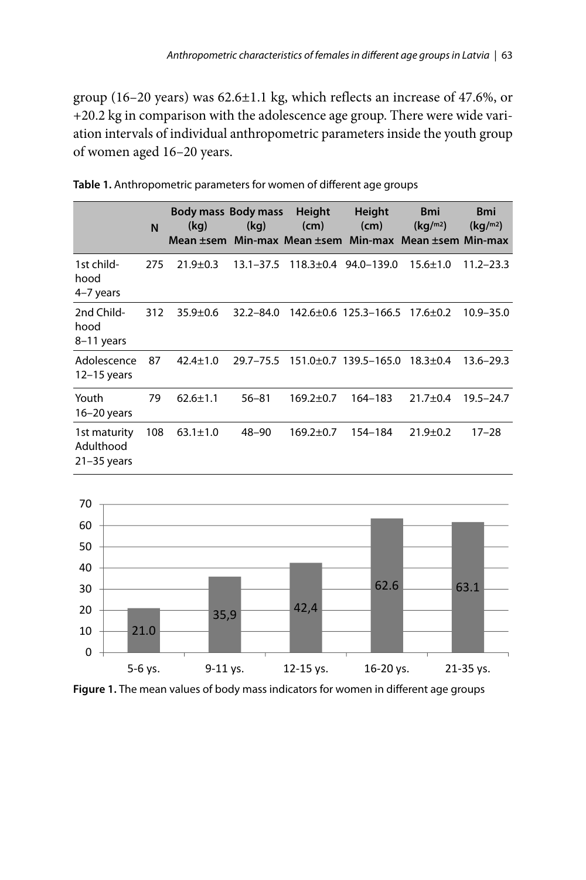group (16–20 years) was 62.6±1.1 kg, which reflects an increase of 47.6%, or +20.2 kg in comparison with the adolescence age group. There were wide variation intervals of individual anthropometric parameters inside the youth group of women aged 16–20 years.

|                                              | N   | Body mass Body mass<br>(kq) | (kg)          | Height<br>(cm)  | Height<br>(cm)             | <b>Bmi</b><br>(kq/m <sup>2</sup> )<br>Mean ±sem Min-max Mean ±sem Min-max Mean ±sem Min-max | <b>Bmi</b><br>(kq/m <sup>2</sup> ) |
|----------------------------------------------|-----|-----------------------------|---------------|-----------------|----------------------------|---------------------------------------------------------------------------------------------|------------------------------------|
| 1st child-<br>hood<br>4-7 years              | 275 | $21.9 \pm 0.3$              | $13.1 - 37.5$ |                 | $118.3 \pm 0.4$ 94.0-139.0 | $15.6 \pm 1.0$                                                                              | 11.2–23.3                          |
| 2nd Child-<br>hood<br>8-11 years             | 312 | $35.9 \pm 0.6$              | $32.2 - 84.0$ |                 | 142.6±0.6 125.3-166.5      | 17.6±0.2                                                                                    | $10.9 - 35.0$                      |
| Adolescence<br>$12-15$ years                 | 87  | $42.4 \pm 1.0$              | $29.7 - 75.5$ |                 | 151.0±0.7 139.5-165.0      | $18.3 \pm 0.4$                                                                              | $13.6 - 29.3$                      |
| Youth<br>$16-20$ years                       | 79  | $62.6 \pm 1.1$              | $56 - 81$     | $169.2 \pm 0.7$ | 164-183                    | $21.7 \pm 0.4$                                                                              | 19.5 - 24.7                        |
| 1st maturity<br>Adulthood<br>$21 - 35$ years | 108 | $63.1 \pm 1.0$              | 48-90         | $169.2 \pm 0.7$ | 154-184                    | $21.9 \pm 0.2$                                                                              | $17 - 28$                          |

**Table 1.** Anthropometric parameters for women of different age groups



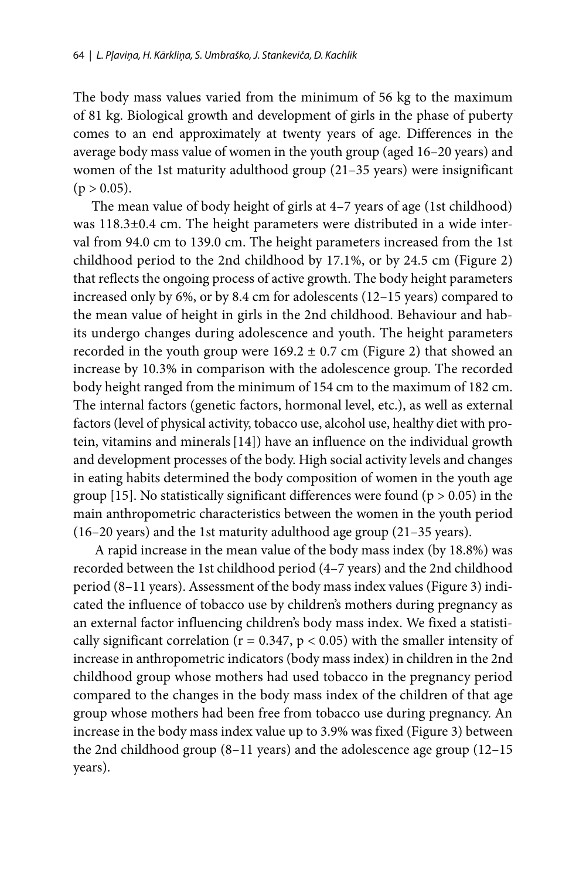The body mass values varied from the minimum of 56 kg to the maximum of 81 kg. Biological growth and development of girls in the phase of puberty comes to an end approximately at twenty years of age. Differences in the average body mass value of women in the youth group (aged 16–20 years) and women of the 1st maturity adulthood group (21–35 years) were insignificant  $(p > 0.05)$ .

The mean value of body height of girls at 4–7 years of age (1st childhood) was 118.3±0.4 cm. The height parameters were distributed in a wide interval from 94.0 cm to 139.0 cm. The height parameters increased from the 1st childhood period to the 2nd childhood by 17.1%, or by 24.5 cm (Figure 2) that reflects the ongoing process of active growth. The body height parameters increased only by 6%, or by 8.4 cm for adolescents (12–15 years) compared to the mean value of height in girls in the 2nd childhood. Behaviour and habits undergo changes during adolescence and youth. The height parameters recorded in the youth group were  $169.2 \pm 0.7$  cm (Figure 2) that showed an increase by 10.3% in comparison with the adolescence group. The recorded body height ranged from the minimum of 154 cm to the maximum of 182 cm. The internal factors (genetic factors, hormonal level, etc.), as well as external factors (level of physical activity, tobacco use, alcohol use, healthy diet with protein, vitamins and minerals[14]) have an influence on the individual growth and development processes of the body. High social activity levels and changes in eating habits determined the body composition of women in the youth age group [15]. No statistically significant differences were found ( $p > 0.05$ ) in the main anthropometric characteristics between the women in the youth period (16–20 years) and the 1st maturity adulthood age group (21–35 years).

 A rapid increase in the mean value of the body mass index (by 18.8%) was recorded between the 1st childhood period (4–7 years) and the 2nd childhood period (8–11 years). Assessment of the body mass index values (Figure 3) indicated the influence of tobacco use by children's mothers during pregnancy as an external factor influencing children's body mass index. We fixed a statistically significant correlation ( $r = 0.347$ ,  $p < 0.05$ ) with the smaller intensity of increase in anthropometric indicators (body mass index) in children in the 2nd childhood group whose mothers had used tobacco in the pregnancy period compared to the changes in the body mass index of the children of that age group whose mothers had been free from tobacco use during pregnancy. An increase in the body mass index value up to 3.9% was fixed (Figure 3) between the 2nd childhood group (8–11 years) and the adolescence age group (12–15 years).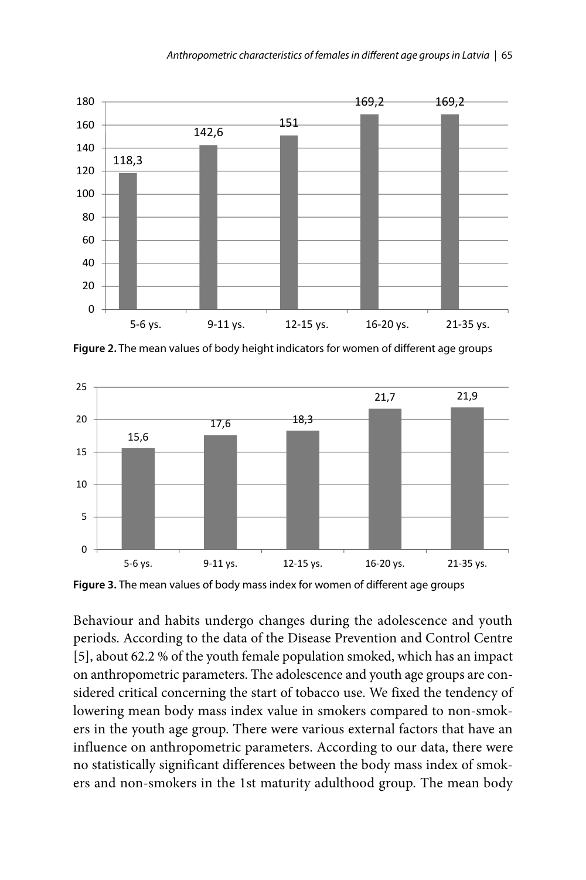

**Figure 2.** The mean values of body height indicators for women of different age groups



**Figure 3.** The mean values of body mass index for women of different age groups

Behaviour and habits undergo changes during the adolescence and youth periods. According to the data of the Disease Prevention and Control Centre [5], about 62.2 % of the youth female population smoked, which has an impact on anthropometric parameters. The adolescence and youth age groups are considered critical concerning the start of tobacco use. We fixed the tendency of lowering mean body mass index value in smokers compared to non-smokers in the youth age group. There were various external factors that have an influence on anthropometric parameters. According to our data, there were no statistically significant differences between the body mass index of smokers and non-smokers in the 1st maturity adulthood group. The mean body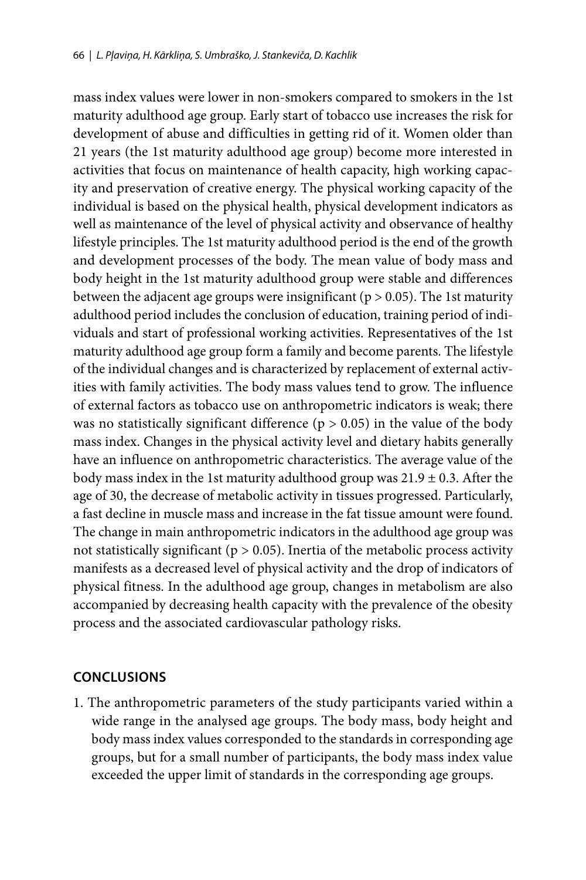mass index values were lower in non-smokers compared to smokers in the 1st maturity adulthood age group. Early start of tobacco use increases the risk for development of abuse and difficulties in getting rid of it. Women older than 21 years (the 1st maturity adulthood age group) become more interested in activities that focus on maintenance of health capacity, high working capacity and preservation of creative energy. The physical working capacity of the individual is based on the physical health, physical development indicators as well as maintenance of the level of physical activity and observance of healthy lifestyle principles. The 1st maturity adulthood period is the end of the growth and development processes of the body. The mean value of body mass and body height in the 1st maturity adulthood group were stable and differences between the adjacent age groups were insignificant ( $p > 0.05$ ). The 1st maturity adulthood period includes the conclusion of education, training period of individuals and start of professional working activities. Representatives of the 1st maturity adulthood age group form a family and become parents. The lifestyle of the individual changes and is characterized by replacement of external activities with family activities. The body mass values tend to grow. The influence of external factors as tobacco use on anthropometric indicators is weak; there was no statistically significant difference ( $p > 0.05$ ) in the value of the body mass index. Changes in the physical activity level and dietary habits generally have an influence on anthropometric characteristics. The average value of the body mass index in the 1st maturity adulthood group was  $21.9 \pm 0.3$ . After the age of 30, the decrease of metabolic activity in tissues progressed. Particularly, a fast decline in muscle mass and increase in the fat tissue amount were found. The change in main anthropometric indicators in the adulthood age group was not statistically significant ( $p > 0.05$ ). Inertia of the metabolic process activity manifests as a decreased level of physical activity and the drop of indicators of physical fitness. In the adulthood age group, changes in metabolism are also accompanied by decreasing health capacity with the prevalence of the obesity process and the associated cardiovascular pathology risks.

#### **CONCLUSIONS**

1. The anthropometric parameters of the study participants varied within a wide range in the analysed age groups. The body mass, body height and body mass index values corresponded to the standards in corresponding age groups, but for a small number of participants, the body mass index value exceeded the upper limit of standards in the corresponding age groups.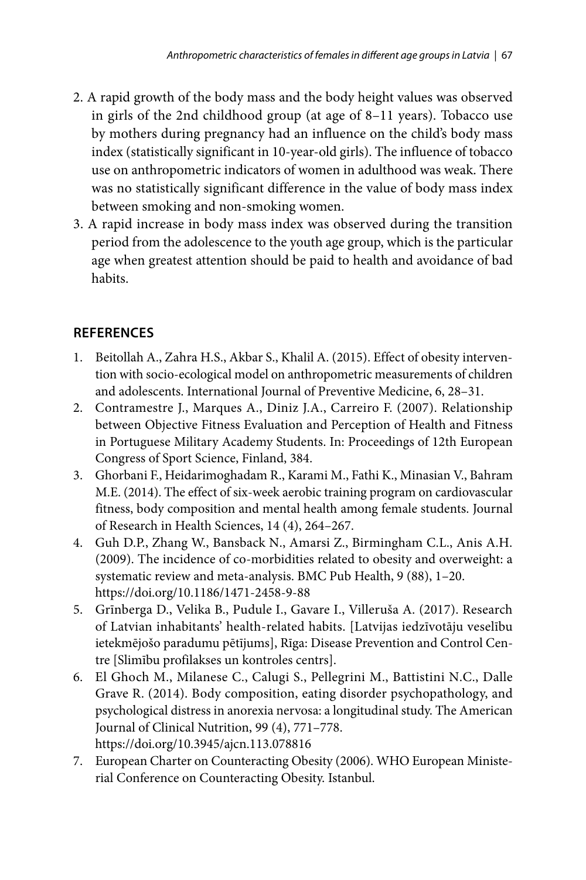- 2. A rapid growth of the body mass and the body height values was observed in girls of the 2nd childhood group (at age of 8–11 years). Tobacco use by mothers during pregnancy had an influence on the child's body mass index (statistically significant in 10-year-old girls). The influence of tobacco use on anthropometric indicators of women in adulthood was weak. There was no statistically significant difference in the value of body mass index between smoking and non-smoking women.
- 3. A rapid increase in body mass index was observed during the transition period from the adolescence to the youth age group, which is the particular age when greatest attention should be paid to health and avoidance of bad habits.

# **REFERENCES**

- 1. Beitollah A., Zahra H.S., Akbar S., Khalil A. (2015). Effect of obesity intervention with socio-ecological model on anthropometric measurements of children and adolescents. International Journal of Preventive Medicine, 6, 28–31.
- 2. Contramestre J., Marques A., Diniz J.A., Carreiro F. (2007). Relationship between Objective Fitness Evaluation and Perception of Health and Fitness in Portuguese Military Academy Students. In: Proceedings of 12th European Congress of Sport Science, Finland, 384.
- 3. Ghorbani F., Heidarimoghadam R., Karami M., Fathi K., Minasian V., Bahram M.E. (2014). The effect of six-week aerobic training program on cardiovascular fitness, body composition and mental health among female students. Journal of Research in Health Sciences, 14 (4), 264–267.
- 4. Guh D.P., Zhang W., Bansback N., Amarsi Z., Birmingham C.L., Anis A.H. (2009). The incidence of co-morbidities related to obesity and overweight: a systematic review and meta-analysis. BMC Pub Health, 9 (88), 1–20. https://doi.org/10.1186/1471-2458-9-88
- 5. Grīnberga D., Velika B., Pudule I., Gavare I., Villeruša A. (2017). Research of Latvian inhabitants' health-related habits. [Latvijas iedzīvotāju veselību ietekmējošo paradumu pētījums], Rīga: Disease Prevention and Control Centre [Slimību profilakses un kontroles centrs].
- 6. El Ghoch M., Milanese C., Calugi S., Pellegrini M., Battistini N.C., Dalle Grave R. (2014). Body composition, eating disorder psychopathology, and psychological distress in anorexia nervosa: a longitudinal study. The American Journal of Clinical Nutrition, 99 (4), 771–778. https://doi.org/10.3945/ajcn.113.078816
- 7. European Charter on Counteracting Obesity (2006). WHO European Ministerial Conference on Counteracting Obesity. Istanbul.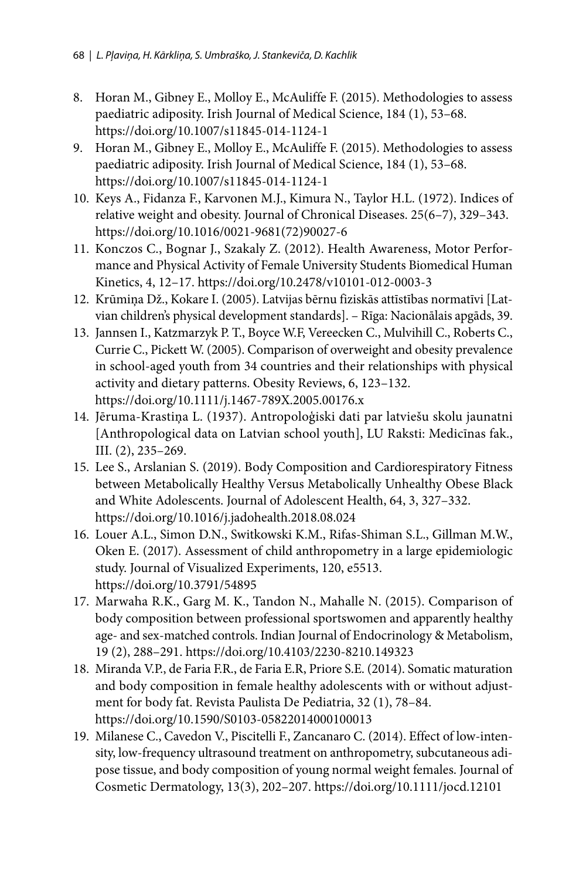- 8. Horan M., Gibney E., Molloy E., McAuliffe F. (2015). Methodologies to assess paediatric adiposity. Irish Journal of Medical Science, 184 (1), 53–68. https://doi.org/10.1007/s11845-014-1124-1
- 9. Horan M., Gibney E., Molloy E., McAuliffe F. (2015). Methodologies to assess paediatric adiposity. Irish Journal of Medical Science, 184 (1), 53–68. https://doi.org/10.1007/s11845-014-1124-1
- 10. Keys A., Fidanza F., Karvonen M.J., Kimura N., Taylor H.L. (1972). Indices of relative weight and obesity. Journal of Chronical Diseases. 25(6–7), 329–343. https://doi.org/10.1016/0021-9681(72)90027-6
- 11. Konczos C., Bognar J., Szakaly Z. (2012). Health Awareness, Motor Performance and Physical Activity of Female University Students Biomedical Human Kinetics, 4, 12–17. https://doi.org/10.2478/v10101-012-0003-3
- 12. Krūmiņa Dž., Kokare I. (2005). Latvijas bērnu fiziskās attīstības normatīvi [Latvian children's physical development standards]. – Rīga: Nacionālais apgāds, 39.
- 13. Jannsen I., Katzmarzyk P. T., Boyce W.F, Vereecken C., Mulvihill C., Roberts C., Currie C., Pickett W. (2005). Comparison of overweight and obesity prevalence in school-aged youth from 34 countries and their relationships with physical activity and dietary patterns. Obesity Reviews, 6, 123–132. https://doi.org/10.1111/j.1467-789X.2005.00176.x
- 14. Jēruma-Krastiņa L. (1937). Antropoloģiski dati par latviešu skolu jaunatni [Anthropological data on Latvian school youth], LU Raksti: Medicīnas fak., III. (2), 235–269.
- 15. Lee S., Arslanian S. (2019). Body Composition and Cardiorespiratory Fitness between Metabolically Healthy Versus Metabolically Unhealthy Obese Black and White Adolescents. Journal of Adolescent Health, 64, 3, 327–332. https://doi.org/10.1016/j.jadohealth.2018.08.024
- 16. Louer A.L., Simon D.N., Switkowski K.M., Rifas-Shiman S.L., Gillman M.W., Oken E. (2017). Assessment of child anthropometry in a large epidemiologic study. Journal of Visualized Experiments, 120, e5513. https://doi.org/10.3791/54895
- 17. Marwaha R.K., Garg M. K., Tandon N., Mahalle N. (2015). Comparison of body composition between professional sportswomen and apparently healthy age- and sex-matched controls. Indian Journal of Endocrinology & Metabolism, 19 (2), 288–291. https://doi.org/10.4103/2230-8210.149323
- 18. Miranda V.P., de Faria F.R., de Faria E.R, Priore S.E. (2014). Somatic maturation and body composition in female healthy adolescents with or without adjustment for body fat. Revista Paulista De Pediatria, 32 (1), 78–84. https://doi.org/10.1590/S0103-05822014000100013
- 19. Milanese C., Cavedon V., Piscitelli F., Zancanaro C. (2014). Effect of low-intensity, low-frequency ultrasound treatment on anthropometry, subcutaneous adipose tissue, and body composition of young normal weight females. Journal of Cosmetic Dermatology, 13(3), 202–207. https://doi.org/10.1111/jocd.12101